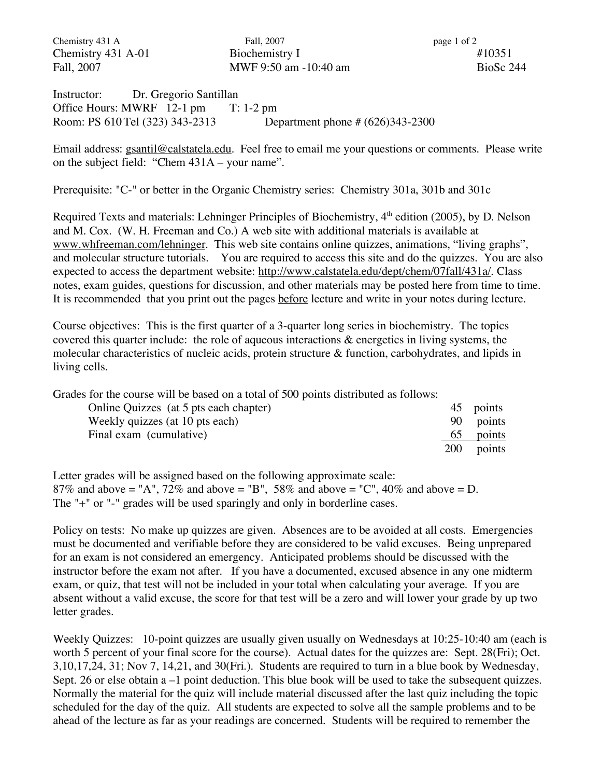Chemistry 431 A Fall, 2007 **Fall**, 2007 **page 1 of 2** Chemistry 431 A-01 Biochemistry I #10351 Fall, 2007 **MWF 9:50 am -10:40 am** BioSc 244

Instructor: Dr. Gregorio Santillan Office Hours: MWRF 12-1 pm T: 1-2 pm Room: PS 610Tel (323) 343-2313 Department phone # (626)343-2300

Email address: gsantil@calstatela.edu. Feel free to email me your questions or comments. Please write on the subject field: "Chem 431A – your name".

Prerequisite: "C-" or better in the Organic Chemistry series: Chemistry 301a, 301b and 301c

Required Texts and materials: Lehninger Principles of Biochemistry, 4<sup>th</sup> edition (2005), by D. Nelson and M. Cox. (W. H. Freeman and Co.) A web site with additional materials is available at www.whfreeman.com/lehninger. This web site contains online quizzes, animations, "living graphs", and molecular structure tutorials. You are required to access this site and do the quizzes. You are also expected to access the department website: http://www.calstatela.edu/dept/chem/07fall/431a/. Class notes, exam guides, questions for discussion, and other materials may be posted here from time to time. It is recommended that you print out the pages before lecture and write in your notes during lecture.

Course objectives: This is the first quarter of a 3-quarter long series in biochemistry. The topics covered this quarter include: the role of aqueous interactions  $\&$  energetics in living systems, the molecular characteristics of nucleic acids, protein structure & function, carbohydrates, and lipids in living cells.

Grades for the course will be based on a total of 500 points distributed as follows:

| Online Quizzes (at 5 pts each chapter) |            | 45 points |
|----------------------------------------|------------|-----------|
| Weekly quizzes (at 10 pts each)        |            | 90 points |
| Final exam (cumulative)                | 65         | points    |
|                                        | <b>200</b> | points    |

Letter grades will be assigned based on the following approximate scale: 87% and above = "A", 72% and above = "B", 58% and above = "C", 40% and above = D. The "+" or "-" grades will be used sparingly and only in borderline cases.

Policy on tests: No make up quizzes are given. Absences are to be avoided at all costs. Emergencies must be documented and verifiable before they are considered to be valid excuses. Being unprepared for an exam is not considered an emergency. Anticipated problems should be discussed with the instructor before the exam not after. If you have a documented, excused absence in any one midterm exam, or quiz, that test will not be included in your total when calculating your average. If you are absent without a valid excuse, the score for that test will be a zero and will lower your grade by up two letter grades.

Weekly Quizzes: 10-point quizzes are usually given usually on Wednesdays at 10:25-10:40 am (each is worth 5 percent of your final score for the course). Actual dates for the quizzes are: Sept. 28(Fri); Oct. 3,10,17,24, 31; Nov 7, 14,21, and 30(Fri.). Students are required to turn in a blue book by Wednesday, Sept. 26 or else obtain a –1 point deduction. This blue book will be used to take the subsequent quizzes. Normally the material for the quiz will include material discussed after the last quiz including the topic scheduled for the day of the quiz. All students are expected to solve all the sample problems and to be ahead of the lecture as far as your readings are concerned. Students will be required to remember the